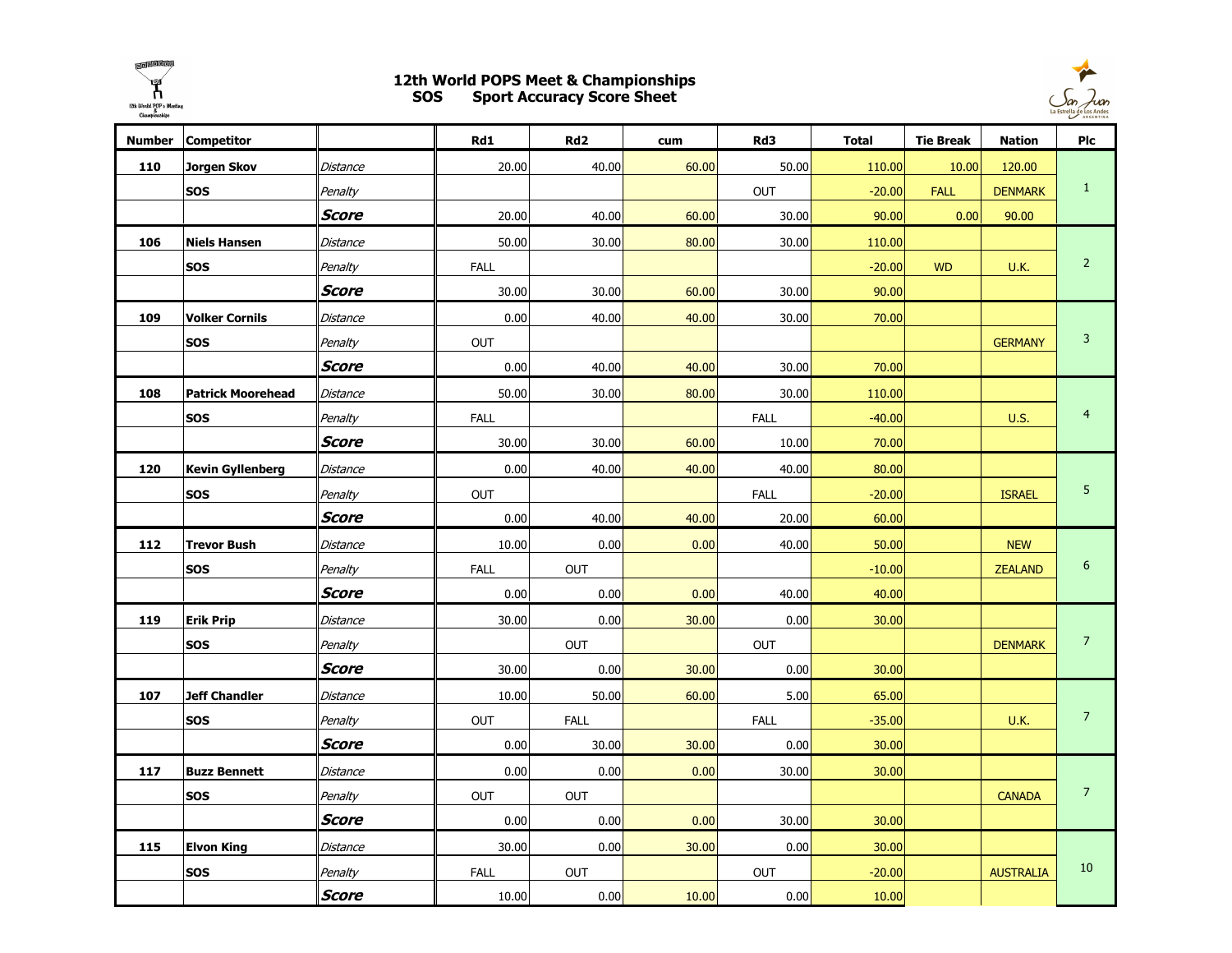

## 12th World POPS Meet & Championships SOS Sport Accuracy Score Sheet



| <b>Number</b> | <b>Competitor</b>        |              | Rd1         | Rd <sub>2</sub> | cum   | Rd3         | <b>Total</b> | <b>Tie Break</b> | <b>Nation</b>    | Plc            |
|---------------|--------------------------|--------------|-------------|-----------------|-------|-------------|--------------|------------------|------------------|----------------|
| 110           | Jorgen Skov              | Distance     | 20.00       | 40.00           | 60.00 | 50.00       | 110.00       | 10.00            | 120.00           |                |
|               | <b>SOS</b>               | Penalty      |             |                 |       | OUT         | $-20.00$     | <b>FALL</b>      | <b>DENMARK</b>   | $1\,$          |
|               |                          | Score        | 20.00       | 40.00           | 60.00 | 30.00       | 90.00        | 0.00             | 90.00            |                |
| 106           | <b>Niels Hansen</b>      | Distance     | 50.00       | 30.00           | 80.00 | 30.00       | 110.00       |                  |                  |                |
|               | <b>SOS</b>               | Penalty      | <b>FALL</b> |                 |       |             | $-20.00$     | <b>WD</b>        | <b>U.K.</b>      | $\overline{2}$ |
|               |                          | <b>Score</b> | 30.00       | 30.00           | 60.00 | 30.00       | 90.00        |                  |                  |                |
| 109           | <b>Volker Cornils</b>    | Distance     | 0.00        | 40.00           | 40.00 | 30.00       | 70.00        |                  |                  |                |
|               | <b>SOS</b>               | Penalty      | <b>OUT</b>  |                 |       |             |              |                  | <b>GERMANY</b>   | $\mathsf 3$    |
|               |                          | Score        | 0.00        | 40.00           | 40.00 | 30.00       | 70.00        |                  |                  |                |
| 108           | <b>Patrick Moorehead</b> | Distance     | 50.00       | 30.00           | 80.00 | 30.00       | 110.00       |                  |                  |                |
|               | <b>SOS</b>               | Penalty      | <b>FALL</b> |                 |       | <b>FALL</b> | $-40.00$     |                  | <b>U.S.</b>      | 4              |
|               |                          | Score        | 30.00       | 30.00           | 60.00 | 10.00       | 70.00        |                  |                  |                |
| 120           | <b>Kevin Gyllenberg</b>  | Distance     | 0.00        | 40.00           | 40.00 | 40.00       | 80.00        |                  |                  |                |
|               | <b>SOS</b>               | Penalty      | <b>OUT</b>  |                 |       | <b>FALL</b> | $-20.00$     |                  | <b>ISRAEL</b>    | 5              |
|               |                          | Score        | 0.00        | 40.00           | 40.00 | 20.00       | 60.00        |                  |                  |                |
| 112           | <b>Trevor Bush</b>       | Distance     | 10.00       | 0.00            | 0.00  | 40.00       | 50.00        |                  | <b>NEW</b>       |                |
|               | <b>SOS</b>               | Penalty      | <b>FALL</b> | OUT             |       |             | $-10.00$     |                  | <b>ZEALAND</b>   | 6              |
|               |                          | Score        | 0.00        | 0.00            | 0.00  | 40.00       | 40.00        |                  |                  |                |
| 119           | <b>Erik Prip</b>         | Distance     | 30.00       | 0.00            | 30.00 | 0.00        | 30.00        |                  |                  |                |
|               | <b>SOS</b>               | Penalty      |             | <b>OUT</b>      |       | OUT         |              |                  | <b>DENMARK</b>   | $\overline{7}$ |
|               |                          | Score        | 30.00       | 0.00            | 30.00 | 0.00        | 30.00        |                  |                  |                |
| 107           | <b>Jeff Chandler</b>     | Distance     | 10.00       | 50.00           | 60.00 | 5.00        | 65.00        |                  |                  |                |
|               | <b>SOS</b>               | Penalty      | OUT         | <b>FALL</b>     |       | <b>FALL</b> | $-35.00$     |                  | <b>U.K.</b>      | $\overline{7}$ |
|               |                          | Score        | 0.00        | 30.00           | 30.00 | 0.00        | 30.00        |                  |                  |                |
| 117           | <b>Buzz Bennett</b>      | Distance     | 0.00        | 0.00            | 0.00  | 30.00       | 30.00        |                  |                  |                |
|               | <b>SOS</b>               | Penalty      | <b>OUT</b>  | <b>OUT</b>      |       |             |              |                  | <b>CANADA</b>    | $\overline{7}$ |
|               |                          | <b>Score</b> | 0.00        | 0.00            | 0.00  | 30.00       | 30.00        |                  |                  |                |
| 115           | <b>Elvon King</b>        | Distance     | 30.00       | 0.00            | 30.00 | 0.00        | 30.00        |                  |                  |                |
|               | <b>SOS</b>               | Penalty      | <b>FALL</b> | <b>OUT</b>      |       | <b>OUT</b>  | $-20.00$     |                  | <b>AUSTRALIA</b> | 10             |
|               |                          | Score        | 10.00       | 0.00            | 10.00 | 0.00        | 10.00        |                  |                  |                |